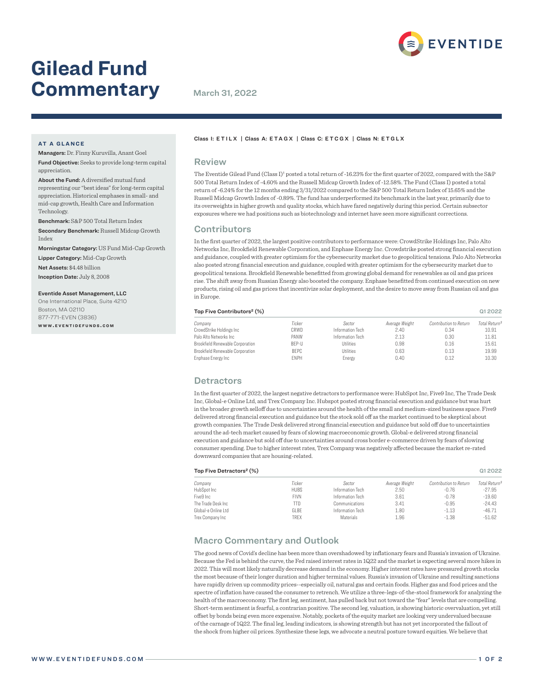# **Gilead Fund Commentary** March 31, 2022

# **AT A GLANCE**

Technology.

Managers: Dr. Finny Kuruvilla, Anant Goel Fund Objective: Seeks to provide long-term capital

appreciation. About the Fund: A diversified mutual fund representing our "best ideas" for long-term capital appreciation. Historical emphases in small- and mid-cap growth, Health Care and Information

Benchmark: S&P 500 Total Return Index

Secondary Benchmark: Russell Midcap Growth Index

Morningstar Category: US Fund Mid-Cap Growth Lipper Category: Mid-Cap Growth

Net Assets: \$4.48 billion

Inception Date: July 8, 2008

#### Eventide Asset Management, LLC

One International Place, Suite 4210 Boston, MA 02110 877-771-EVEN (3836) **w w w . e v e n t i d e f u n d s . c o m**

### Class I: ETILX | Class A: ETAGX | Class C: ETCGX | Class N: ETGLX

#### Review

The Eventide Gilead Fund (Class I)<sup>1</sup> posted a total return of -16.23% for the first quarter of 2022, compared with the S&P 500 Total Return Index of -4.60% and the Russell Midcap Growth Index of -12.58%. The Fund (Class I) posted a total return of -6.24% for the 12 months ending 3/31/2022 compared to the S&P 500 Total Return Index of 15.65% and the Russell Midcap Growth Index of -0.89%. The fund has underperformed its benchmark in the last year, primarily due to its overweights in higher growth and quality stocks, which have fared negatively during this period. Certain subsector exposures where we had positions such as biotechnology and internet have seen more significant corrections.

# **Contributors**

In the first quarter of 2022, the largest positive contributors to performance were: CrowdStrike Holdings Inc, Palo Alto Networks Inc, Brookfield Renewable Corporation, and Enphase Energy Inc. Crowdstrike posted strong financial execution and guidance, coupled with greater optimism for the cybersecurity market due to geopolitical tensions. Palo Alto Networks also posted strong financial execution and guidance, coupled with greater optimism for the cybersecurity market due to geopolitical tensions. Brookfield Renewable benefitted from growing global demand for renewables as oil and gas prices rise. The shift away from Russian Energy also boosted the company. Enphase benefitted from continued execution on new products, rising oil and gas prices that incentivize solar deployment, and the desire to move away from Russian oil and gas in Europe.

#### Top Five Contributors² (%) Q1 2022

| Company                          | Ticker       | Sector           | Average Weight | Contribution to Return | Total Return <sup>3</sup> |
|----------------------------------|--------------|------------------|----------------|------------------------|---------------------------|
| CrowdStrike Holdings Inc         | CRWD         | Information Tech | 2.40           | 0.34                   | 10.91                     |
| Palo Alto Networks Inc           | PANW         | Information Tech | 2.13           | 0.30                   | 11.81                     |
| Brookfield Renewable Corporation | <b>BFP-U</b> | <b>Utilities</b> | 0.98           | 0.16                   | 15.61                     |
| Brookfield Renewable Corporation | <b>BEPC</b>  | <b>Utilities</b> | 0.63           | 0.13                   | 19.99                     |
| Enphase Energy Inc               | <b>FNPH</b>  | Energy           | 0.40           | 0.12                   | 10.30                     |

# **Detractors**

In the first quarter of 2022, the largest negative detractors to performance were: HubSpot Inc, Five9 Inc, The Trade Desk Inc, Global-e Online Ltd, and Trex Company Inc. Hubspot posted strong financial execution and guidance but was hurt in the broader growth selloff due to uncertainties around the health of the small and medium-sized business space. Five9 delivered strong financial execution and guidance but the stock sold off as the market continued to be skeptical about growth companies. The Trade Desk delivered strong financial execution and guidance but sold off due to uncertainties around the ad-tech market caused by fears of slowing macroeconomic growth. Global-e delivered strong financial execution and guidance but sold off due to uncertainties around cross border e-commerce driven by fears of slowing consumer spending. Due to higher interest rates, Trex Company was negatively affected because the market re-rated downward companies that are housing-related.

#### $\frac{1}{2}$  Top Five Detractors<sup>2</sup> (%)  $\frac{1}{2}$  Q1 2022

| Company             | Ticker      | Sector           | Average Weight | Contribution to Return | Total Return <sup>3</sup> |
|---------------------|-------------|------------------|----------------|------------------------|---------------------------|
| HubSpot Inc         | <b>HUBS</b> | Information Tech | 2.50           | $-0.76$                | $-27.95$                  |
| Five9 Inc           | FIVN        | Information Tech | 3.61           | $-0.78$                | $-19.60$                  |
| The Trade Desk Inc. | TTD         | Communications   | 3.41           | $-0.95$                | $-24.43$                  |
| Global-e Online Ltd | GLBE        | Information Tech | 1.80           | $-1.13$                | $-46.71$                  |
| Trex Company Inc    | TREX        | <b>Materials</b> | 1.96           | $-1.38$                | $-51.62$                  |
|                     |             |                  |                |                        |                           |

# Macro Commentary and Outlook

The good news of Covid's decline has been more than overshadowed by inflationary fears and Russia's invasion of Ukraine. Because the Fed is behind the curve, the Fed raised interest rates in 1Q22 and the market is expecting several more hikes in 2022. This will most likely naturally decrease demand in the economy. Higher interest rates have pressured growth stocks the most because of their longer duration and higher terminal values. Russia's invasion of Ukraine and resulting sanctions have rapidly driven up commodity prices--especially oil, natural gas and certain foods. Higher gas and food prices and the spectre of inflation have caused the consumer to retrench. We utilize a three-legs-of-the-stool framework for analyzing the health of the macroeconomy. The first leg, sentiment, has pulled back but not toward the "fear" levels that are compelling. Short-term sentiment is fearful, a contrarian positive. The second leg, valuation, is showing historic overvaluation, yet still offset by bonds being even more expensive. Notably, pockets of the equity market are looking very undervalued because of the carnage of 1Q22. The final leg, leading indicators, is showing strength but has not yet incorporated the fallout of the shock from higher oil prices. Synthesize these legs, we advocate a neutral posture toward equities. We believe that